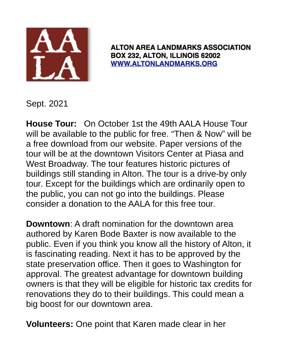

**ALTON AREA LANDMARKS ASSOCIATION** BOX 232, ALTON, ILLINOIS 62002 **WWW.ALTONLANDMARKS.ORG** 

Sept. 2021

**House Tour:** On October 1st the 49th AALA House Tour will be available to the public for free. "Then & Now" will be a free download from our website. Paper versions of the tour will be at the downtown Visitors Center at Piasa and West Broadway. The tour features historic pictures of buildings still standing in Alton. The tour is a drive-by only tour. Except for the buildings which are ordinarily open to the public, you can not go into the buildings. Please consider a donation to the AALA for this free tour.

**Downtown**: A draft nomination for the downtown area authored by Karen Bode Baxter is now available to the public. Even if you think you know all the history of Alton, it is fascinating reading. Next it has to be approved by the state preservation office. Then it goes to Washington for approval. The greatest advantage for downtown building owners is that they will be eligible for historic tax credits for renovations they do to their buildings. This could mean a big boost for our downtown area.

**Volunteers:** One point that Karen made clear in her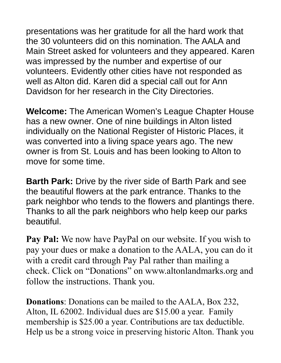presentations was her gratitude for all the hard work that the 30 volunteers did on this nomination. The AALA and Main Street asked for volunteers and they appeared. Karen was impressed by the number and expertise of our volunteers. Evidently other cities have not responded as well as Alton did. Karen did a special call out for Ann Davidson for her research in the City Directories.

**Welcome:** The American Women's League Chapter House has a new owner. One of nine buildings in Alton listed individually on the National Register of Historic Places, it was converted into a living space years ago. The new owner is from St. Louis and has been looking to Alton to move for some time.

**Barth Park:** Drive by the river side of Barth Park and see the beautiful flowers at the park entrance. Thanks to the park neighbor who tends to the flowers and plantings there. Thanks to all the park neighbors who help keep our parks beautiful.

**Pay Pal:** We now have PayPal on our website. If you wish to pay your dues or make a donation to the AALA, you can do it with a credit card through Pay Pal rather than mailing a check. Click on "Donations" on www.altonlandmarks.org and follow the instructions. Thank you.

**Donations**: Donations can be mailed to the AALA, Box 232, Alton, IL 62002. Individual dues are \$15.00 a year. Family membership is \$25.00 a year. Contributions are tax deductible. Help us be a strong voice in preserving historic Alton. Thank you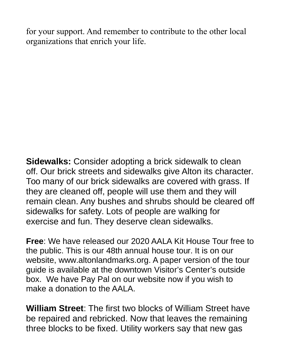for your support. And remember to contribute to the other local organizations that enrich your life.

**Sidewalks:** Consider adopting a brick sidewalk to clean off. Our brick streets and sidewalks give Alton its character. Too many of our brick sidewalks are covered with grass. If they are cleaned off, people will use them and they will remain clean. Any bushes and shrubs should be cleared off sidewalks for safety. Lots of people are walking for exercise and fun. They deserve clean sidewalks.

**Free**: We have released our 2020 AALA Kit House Tour free to the public. This is our 48th annual house tour. It is on our website, www.altonlandmarks.org. A paper version of the tour guide is available at the downtown Visitor's Center's outside box. We have Pay Pal on our website now if you wish to make a donation to the AALA.

**William Street**: The first two blocks of William Street have be repaired and rebricked. Now that leaves the remaining three blocks to be fixed. Utility workers say that new gas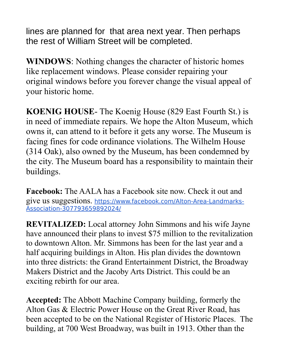lines are planned for that area next year. Then perhaps the rest of William Street will be completed.

**WINDOWS**: Nothing changes the character of historic homes like replacement windows. Please consider repairing your original windows before you forever change the visual appeal of your historic home.

**KOENIG HOUSE**- The Koenig House (829 East Fourth St.) is in need of immediate repairs. We hope the Alton Museum, which owns it, can attend to it before it gets any worse. The Museum is facing fines for code ordinance violations. The Wilhelm House (314 Oak), also owned by the Museum, has been condemned by the city. The Museum board has a responsibility to maintain their buildings.

**Facebook:** The AALA has a Facebook site now. Check it out and give us suggestions. https://www.facebook.com/Alton-Area-Landmarks-Association-307793659892024/

**REVITALIZED:** Local attorney John Simmons and his wife Jayne have announced their plans to invest \$75 million to the revitalization to downtown Alton. Mr. Simmons has been for the last year and a half acquiring buildings in Alton. His plan divides the downtown into three districts: the Grand Entertainment District, the Broadway Makers District and the Jacoby Arts District. This could be an exciting rebirth for our area.

**Accepted:** The Abbott Machine Company building, formerly the Alton Gas & Electric Power House on the Great River Road, has been accepted to be on the National Register of Historic Places. The building, at 700 West Broadway, was built in 1913. Other than the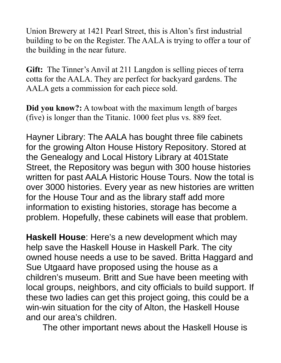Union Brewery at 1421 Pearl Street, this is Alton's first industrial building to be on the Register. The AALA is trying to offer a tour of the building in the near future.

**Gift:** The Tinner's Anvil at 211 Langdon is selling pieces of terra cotta for the AALA. They are perfect for backyard gardens. The AALA gets a commission for each piece sold.

**Did you know?:** A towboat with the maximum length of barges (five) is longer than the Titanic. 1000 feet plus vs. 889 feet.

Hayner Library: The AALA has bought three file cabinets for the growing Alton House History Repository. Stored at the Genealogy and Local History Library at 401State Street, the Repository was begun with 300 house histories written for past AALA Historic House Tours. Now the total is over 3000 histories. Every year as new histories are written for the House Tour and as the library staff add more information to existing histories, storage has become a problem. Hopefully, these cabinets will ease that problem.

**Haskell House**: Here's a new development which may help save the Haskell House in Haskell Park. The city owned house needs a use to be saved. Britta Haggard and Sue Utgaard have proposed using the house as a children's museum. Britt and Sue have been meeting with local groups, neighbors, and city officials to build support. If these two ladies can get this project going, this could be a win-win situation for the city of Alton, the Haskell House and our area's children.

The other important news about the Haskell House is